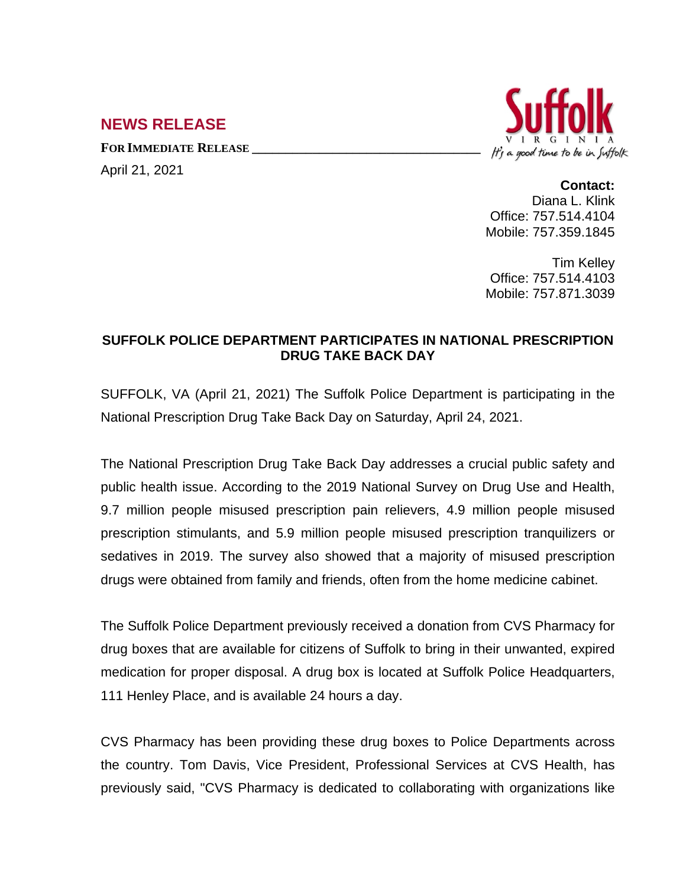## **NEWS RELEASE**

**FOR IMMEDIATE RELEASE \_\_\_\_\_\_\_\_\_\_\_\_\_\_\_\_\_\_\_\_\_\_\_\_\_\_\_\_\_\_\_\_\_\_**

April 21, 2021



## **Contact:**

Diana L. Klink Office: 757.514.4104 Mobile: 757.359.1845

Tim Kelley Office: 757.514.4103 Mobile: 757.871.3039

## **SUFFOLK POLICE DEPARTMENT PARTICIPATES IN NATIONAL PRESCRIPTION DRUG TAKE BACK DAY**

SUFFOLK, VA (April 21, 2021) The Suffolk Police Department is participating in the National Prescription Drug Take Back Day on Saturday, April 24, 2021.

The National Prescription Drug Take Back Day addresses a crucial public safety and public health issue. According to the 2019 National Survey on Drug Use and Health, 9.7 million people misused prescription pain relievers, 4.9 million people misused prescription stimulants, and 5.9 million people misused prescription tranquilizers or sedatives in 2019. The survey also showed that a majority of misused prescription drugs were obtained from family and friends, often from the home medicine cabinet.

The Suffolk Police Department previously received a donation from CVS Pharmacy for drug boxes that are available for citizens of Suffolk to bring in their unwanted, expired medication for proper disposal. A drug box is located at Suffolk Police Headquarters, 111 Henley Place, and is available 24 hours a day.

CVS Pharmacy has been providing these drug boxes to Police Departments across the country. Tom Davis, Vice President, Professional Services at CVS Health, has previously said, "CVS Pharmacy is dedicated to collaborating with organizations like